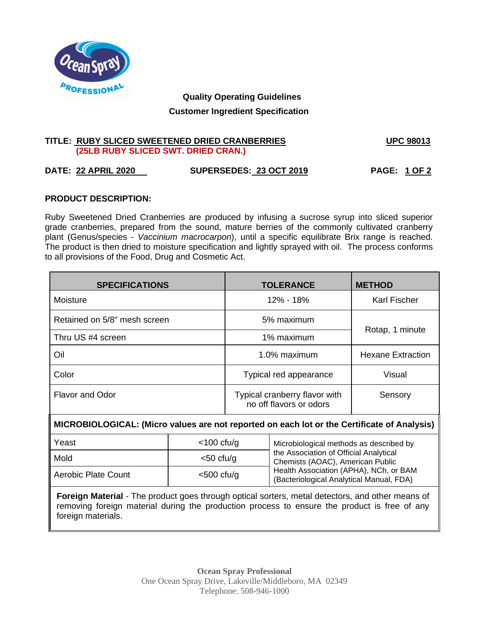

# **Quality Operating Guidelines Customer Ingredient Specification**

### **TITLE: RUBY SLICED SWEETENED DRIED CRANBERRIES UPC 98013 (25LB RUBY SLICED SWT. DRIED CRAN.)**

## **DATE: 22 APRIL 2020 SUPERSEDES: 23 OCT 2019 PAGE: 1 OF 2**

### **PRODUCT DESCRIPTION:**

Ruby Sweetened Dried Cranberries are produced by infusing a sucrose syrup into sliced superior grade cranberries, prepared from the sound, mature berries of the commonly cultivated cranberry plant (Genus/species - *Vaccinium macrocarpon*), until a specific equilibrate Brix range is reached. The product is then dried to moisture specification and lightly sprayed with oil. The process conforms to all provisions of the Food, Drug and Cosmetic Act.

| <b>SPECIFICATIONS</b>        | <b>TOLERANCE</b>                                         | <b>METHOD</b>       |  |
|------------------------------|----------------------------------------------------------|---------------------|--|
| Moisture                     | 12% - 18%                                                | <b>Karl Fischer</b> |  |
| Retained on 5/8" mesh screen | 5% maximum                                               |                     |  |
| Thru US #4 screen            | Rotap, 1 minute<br>1% maximum                            |                     |  |
| Oil                          | 1.0% maximum<br><b>Hexane Extraction</b>                 |                     |  |
| Color                        | Typical red appearance                                   | Visual              |  |
| <b>Flavor and Odor</b>       | Typical cranberry flavor with<br>no off flavors or odors | Sensory             |  |

### **MICROBIOLOGICAL: (Micro values are not reported on each lot or the Certificate of Analysis)**

| Yeast               | $<$ 100 cfu/g | Microbiological methods as described by                                            |
|---------------------|---------------|------------------------------------------------------------------------------------|
| Mold                | $<$ 50 cfu/g  | the Association of Official Analytical<br>Chemists (AOAC), American Public         |
| Aerobic Plate Count | $<$ 500 cfu/g | Health Association (APHA), NCh, or BAM<br>(Bacteriological Analytical Manual, FDA) |

**Foreign Material** - The product goes through optical sorters, metal detectors, and other means of removing foreign material during the production process to ensure the product is free of any foreign materials.